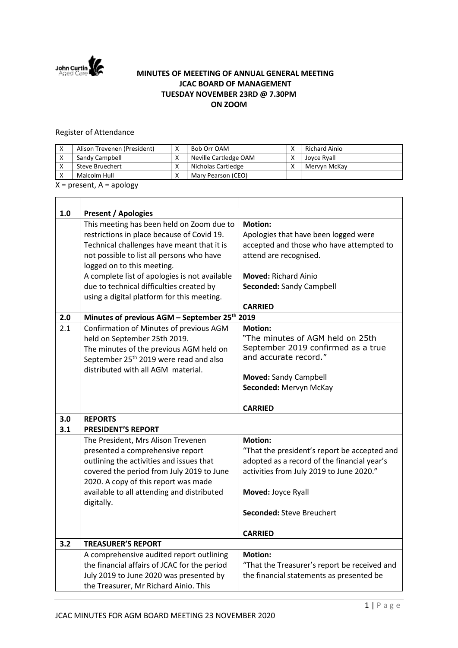

## **MINUTES OF MEEETING OF ANNUAL GENERAL MEETING JCAC BOARD OF MANAGEMENT TUESDAY NOVEMBER 23RD @ 7.30PM ON ZOOM**

## Register of Attendance

| Alison Trevenen (President) | ⌒ | Bob Orr OAM           | Richard Ainio |
|-----------------------------|---|-----------------------|---------------|
| Sandy Campbell              | ⌒ | Neville Cartledge OAM | Joyce Ryall   |
| Steve Bruechert             | ⋀ | Nicholas Cartledge    | Mervyn McKay  |
| Malcolm Hull                | ⋀ | Mary Pearson (CEO)    |               |

 $X =$  present,  $A =$  apology

| 1.0 | <b>Present / Apologies</b>                                |                                              |  |  |  |  |
|-----|-----------------------------------------------------------|----------------------------------------------|--|--|--|--|
|     | This meeting has been held on Zoom due to                 | <b>Motion:</b>                               |  |  |  |  |
|     | restrictions in place because of Covid 19.                | Apologies that have been logged were         |  |  |  |  |
|     | Technical challenges have meant that it is                | accepted and those who have attempted to     |  |  |  |  |
|     | not possible to list all persons who have                 | attend are recognised.                       |  |  |  |  |
|     | logged on to this meeting.                                |                                              |  |  |  |  |
|     | A complete list of apologies is not available             | <b>Moved: Richard Ainio</b>                  |  |  |  |  |
|     | due to technical difficulties created by                  | Seconded: Sandy Campbell                     |  |  |  |  |
|     | using a digital platform for this meeting.                |                                              |  |  |  |  |
|     |                                                           | <b>CARRIED</b>                               |  |  |  |  |
| 2.0 | Minutes of previous AGM - September 25 <sup>th</sup> 2019 |                                              |  |  |  |  |
| 2.1 | Confirmation of Minutes of previous AGM                   | <b>Motion:</b>                               |  |  |  |  |
|     | held on September 25th 2019.                              | "The minutes of AGM held on 25th             |  |  |  |  |
|     | The minutes of the previous AGM held on                   | September 2019 confirmed as a true           |  |  |  |  |
|     | September 25 <sup>th</sup> 2019 were read and also        | and accurate record."                        |  |  |  |  |
|     | distributed with all AGM material.                        |                                              |  |  |  |  |
|     |                                                           | <b>Moved: Sandy Campbell</b>                 |  |  |  |  |
|     |                                                           | Seconded: Mervyn McKay                       |  |  |  |  |
|     |                                                           |                                              |  |  |  |  |
|     |                                                           | <b>CARRIED</b>                               |  |  |  |  |
| 3.0 | <b>REPORTS</b>                                            |                                              |  |  |  |  |
| 3.1 | <b>PRESIDENT'S REPORT</b>                                 |                                              |  |  |  |  |
|     | The President, Mrs Alison Trevenen                        | <b>Motion:</b>                               |  |  |  |  |
|     | presented a comprehensive report                          | "That the president's report be accepted and |  |  |  |  |
|     | outlining the activities and issues that                  | adopted as a record of the financial year's  |  |  |  |  |
|     | covered the period from July 2019 to June                 | activities from July 2019 to June 2020."     |  |  |  |  |
|     | 2020. A copy of this report was made                      |                                              |  |  |  |  |
|     | available to all attending and distributed                | Moved: Joyce Ryall                           |  |  |  |  |
|     | digitally.                                                |                                              |  |  |  |  |
|     |                                                           | <b>Seconded: Steve Breuchert</b>             |  |  |  |  |
|     |                                                           | <b>CARRIED</b>                               |  |  |  |  |
| 3.2 | <b>TREASURER'S REPORT</b>                                 |                                              |  |  |  |  |
|     | A comprehensive audited report outlining                  | <b>Motion:</b>                               |  |  |  |  |
|     | the financial affairs of JCAC for the period              | "That the Treasurer's report be received and |  |  |  |  |
|     | July 2019 to June 2020 was presented by                   | the financial statements as presented be     |  |  |  |  |